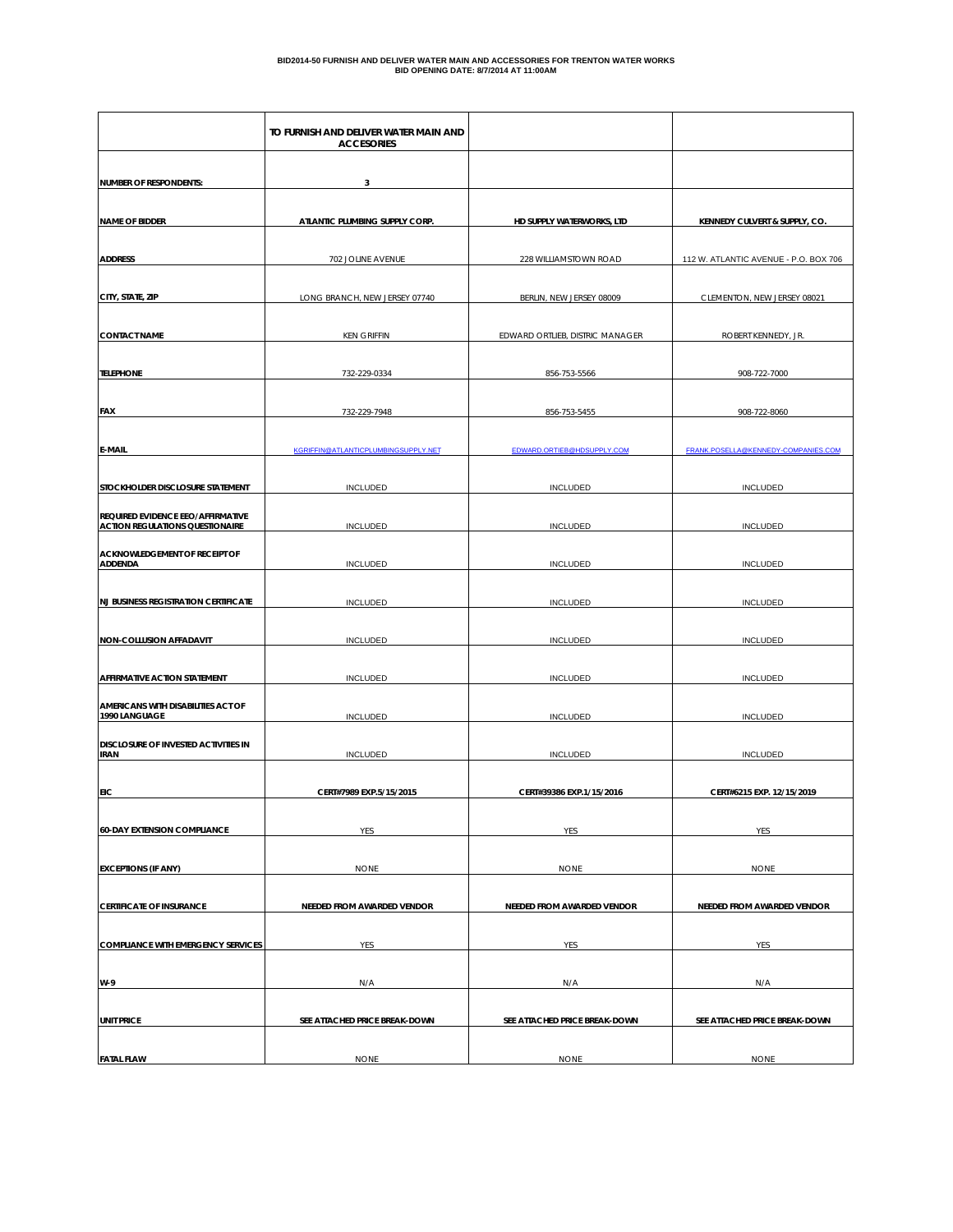|                                                                             | TO FURNISH AND DELIVER WATER MAIN AND<br><b>ACCESORIES</b> |                                 |                                       |
|-----------------------------------------------------------------------------|------------------------------------------------------------|---------------------------------|---------------------------------------|
| <b>NUMBER OF RESPONDENTS:</b>                                               | 3                                                          |                                 |                                       |
|                                                                             |                                                            |                                 |                                       |
| <b>NAME OF BIDDER</b>                                                       | ATLANTIC PLUMBING SUPPLY CORP.                             | HD SUPPLY WATERWORKS, LTD       | KENNEDY CULVERT & SUPPLY, CO.         |
| <b>ADDRESS</b>                                                              | 702 JOLINE AVENUE                                          | 228 WILLIAMSTOWN ROAD           | 112 W. ATLANTIC AVENUE - P.O. BOX 706 |
|                                                                             |                                                            |                                 |                                       |
| CITY, STATE, ZIP                                                            | LONG BRANCH, NEW JERSEY 07740                              | BERLIN, NEW JERSEY 08009        | CLEMENTON, NEW JERSEY 08021           |
|                                                                             |                                                            |                                 |                                       |
| <b>CONTACT NAME</b>                                                         | <b>KEN GRIFFIN</b>                                         | EDWARD ORTLIEB, DISTRIC MANAGER | ROBERT KENNEDY, JR.                   |
| <b>TELEPHONE</b>                                                            | 732-229-0334                                               | 856-753-5566                    | 908-722-7000                          |
|                                                                             |                                                            |                                 |                                       |
| FAX                                                                         | 732-229-7948                                               | 856-753-5455                    | 908-722-8060                          |
|                                                                             |                                                            |                                 |                                       |
| E-MAIL                                                                      | KGRIFFIN@ATLANTICPLUMBINGSUPPLY.NET                        | EDWARD.ORTIEB@HDSUPPLY.COM      | FRANK.POSELLA@KENNEDY-COMPANIES.COM   |
|                                                                             |                                                            |                                 |                                       |
| STOCKHOLDER DISCLOSURE STATEMENT                                            | <b>INCLUDED</b>                                            | <b>INCLUDED</b>                 | <b>INCLUDED</b>                       |
| REQUIRED EVIDENCE EEO/AFFIRMATIVE<br><b>ACTION REGULATIONS QUESTIONAIRE</b> | <b>INCLUDED</b>                                            | INCLUDED                        | <b>INCLUDED</b>                       |
|                                                                             |                                                            |                                 |                                       |
| <b>ACKNOWLEDGEMENT OF RECEIPT OF</b><br><b>ADDENDA</b>                      | INCLUDED                                                   | INCLUDED                        | INCLUDED                              |
|                                                                             |                                                            |                                 |                                       |
| <b>NJ BUSINESS REGISTRATION CERTIFICATE</b>                                 | <b>INCLUDED</b>                                            | <b>INCLUDED</b>                 | <b>INCLUDED</b>                       |
| <b>NON-COLLUSION AFFADAVIT</b>                                              | <b>INCLUDED</b>                                            | <b>INCLUDED</b>                 | <b>INCLUDED</b>                       |
|                                                                             |                                                            |                                 |                                       |
| <b>AFFIRMATIVE ACTION STATEMENT</b>                                         | INCLUDED                                                   | <b>INCLUDED</b>                 | <b>INCLUDED</b>                       |
| AMERICANS WITH DISABILITIES ACT OF                                          |                                                            |                                 |                                       |
| 1990 LANGUAGE                                                               | <b>INCLUDED</b>                                            | <b>INCLUDED</b>                 | <b>INCLUDED</b>                       |
| DISCLOSURE OF INVESTED ACTIVITIES IN<br><b>IRAN</b>                         | <b>INCLUDED</b>                                            | <b>INCLUDED</b>                 | <b>INCLUDED</b>                       |
|                                                                             |                                                            |                                 |                                       |
| <b>EIC</b>                                                                  | CERT#7989 EXP.5/15/2015                                    | CERT#39386 EXP.1/15/2016        | CERT#6215 EXP. 12/15/2019             |
|                                                                             |                                                            |                                 |                                       |
| <b>60-DAY EXTENSION COMPLIANCE</b>                                          | YES                                                        | YES                             | YES                                   |
| <b>EXCEPTIONS (IF ANY)</b>                                                  | <b>NONE</b>                                                | <b>NONE</b>                     | <b>NONE</b>                           |
|                                                                             |                                                            |                                 |                                       |
| <b>CERTIFICATE OF INSURANCE</b>                                             | NEEDED FROM AWARDED VENDOR                                 | NEEDED FROM AWARDED VENDOR      | NEEDED FROM AWARDED VENDOR            |
|                                                                             |                                                            |                                 |                                       |
| <b>COMPLIANCE WITH EMERGENCY SERVICES</b>                                   | YES                                                        | YES                             | YES                                   |
|                                                                             |                                                            |                                 |                                       |
| W-9                                                                         | N/A                                                        | N/A                             | N/A                                   |
| <b>UNIT PRICE</b>                                                           | SEE ATTACHED PRICE BREAK-DOWN                              | SEE ATTACHED PRICE BREAK-DOWN   | SEE ATTACHED PRICE BREAK-DOWN         |
|                                                                             |                                                            |                                 |                                       |
| <b>FATAL FLAW</b>                                                           | <b>NONE</b>                                                | <b>NONE</b>                     | <b>NONE</b>                           |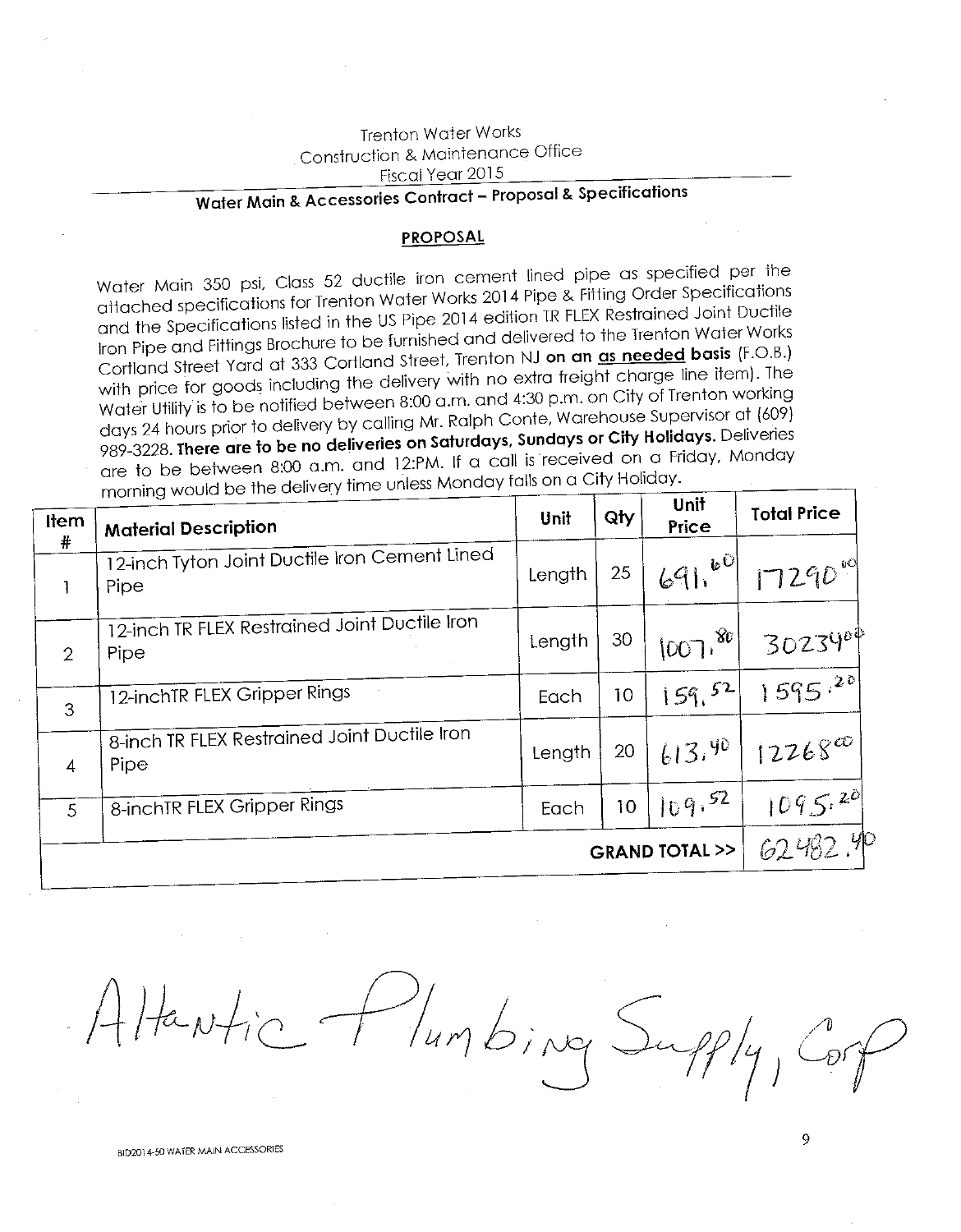## **Trenton Water Works** Construction & Maintenance Office Fiscal Year 2015

# Water Main & Accessories Contract - Proposal & Specifications

#### **PROPOSAL**

Water Main 350 psi, Class 52 ductile iron cement lined pipe as specified per the attached specifications for Trenton Water Works 2014 Pipe & Fitting Order Specifications and the Specifications listed in the US Pipe 2014 edition TR FLEX Restrained Joint Ductile Iron Pipe and Fittings Brochure to be furnished and delivered to the Trenton Water Works Cortland Street Yard at 333 Cortland Street, Trenton NJ on an as needed basis (F.O.B.) with price for goods including the delivery with no extra freight charge line item). The Water Utility is to be notified between 8:00 a.m. and 4:30 p.m. on City of Trenton working days 24 hours prior to delivery by calling Mr. Ralph Conte, Warehouse Supervisor at (609) 989-3228. There are to be no deliveries on Saturdays, Sundays or City Holidays. Deliveries are to be between 8:00 a.m. and 12:PM. If a call is received on a Friday, Monday morning would be the delivery time unless Monday falls on a City Holiday.

| Item           | .<br><b>Material Description</b>                      | Unit   | Qty | Unit<br>Price | <b>Total Price</b> |
|----------------|-------------------------------------------------------|--------|-----|---------------|--------------------|
| $\#$           | 12-inch Tyton Joint Ductile Iron Cement Lined<br>Pipe | Length | 25  | $691e^{60}$   | 17290              |
| $\overline{2}$ | 12-inch TR FLEX Restrained Joint Ductile Iron<br>Pipe | Length | 30  | [007, 80]     | 3023400            |
| 3              | 12-inchTR FLEX Gripper Rings                          | Each   | 10  | 159,52        | $1595^{20}$        |
| $\overline{4}$ | 8-inch TR FLEX Restrained Joint Ductile Iron<br>Pipe  | Length | 20  | 613.90        | $12268^{\infty}$   |
| 5              | 8-inchTR FLEX Gripper Rings                           | Each   | 10  | 109.52        | 1095.20            |
| GRAND TOTAL >> |                                                       |        |     | 62482.40      |                    |

Humbing Supply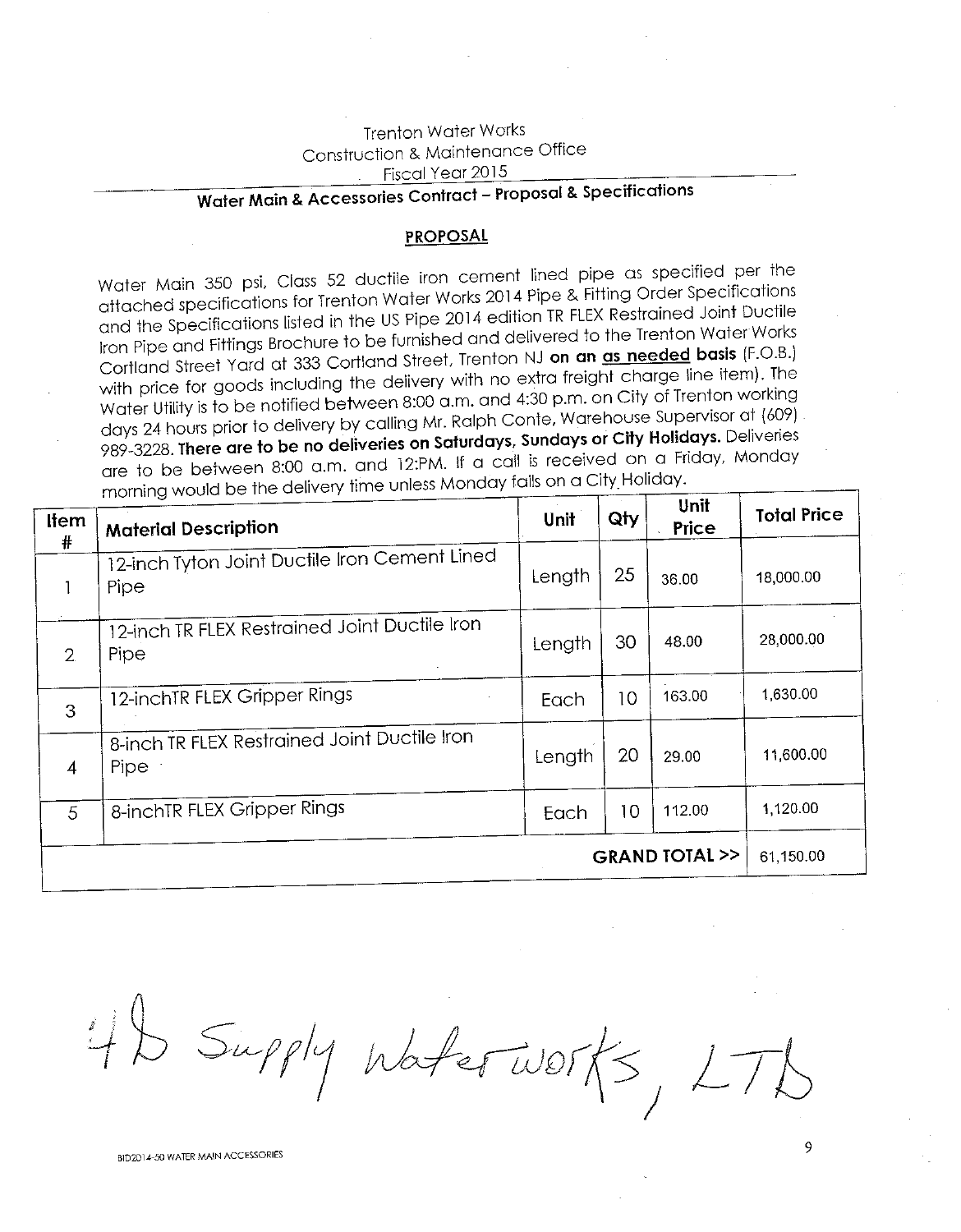## **Trenton Water Works** Construction & Maintenance Office Fiscal Year 2015

## Water Main & Accessories Contract - Proposal & Specifications

### **PROPOSAL**

Water Main 350 psi, Class 52 ductile iron cement lined pipe as specified per the attached specifications for Trenton Water Works 2014 Pipe & Fitting Order Specifications and the Specifications listed in the US Pipe 2014 edition TR FLEX Restrained Joint Ductile Iron Pipe and Fittings Brochure to be furnished and delivered to the Trenton Water Works Cortland Street Yard at 333 Cortland Street, Trenton NJ on an as needed basis (F.O.B.) with price for goods including the delivery with no extra freight charge line item). The Water Utility is to be notified between 8:00 a.m. and 4:30 p.m. on City of Trenton working days 24 hours prior to delivery by calling Mr. Ralph Conte, Warehouse Supervisor at (609) 989-3228. There are to be no deliveries on Saturdays, Sundays or City Holidays. Deliveries are to be between 8:00 a.m. and 12:PM. If a call is received on a Friday, Monday morning would be the delivery time unless Monday falls on a City Holiday.

| <b>Item</b><br># | <b>Material Description</b>                                 | Unit   | Qty | Unit<br>Price               | <b>Total Price</b> |
|------------------|-------------------------------------------------------------|--------|-----|-----------------------------|--------------------|
|                  | 12-inch Tyton Joint Ductile Iron Cement Lined<br>Pipe       | Length | 25  | 36.00                       | 18,000.00          |
| $\overline{2}$   | 12-inch TR FLEX Restrained Joint Ductile Iron<br>Pipe       | Length | 30  | 48.00                       | 28,000.00          |
| 3                | 12-inchTR FLEX Gripper Rings                                | Each   | 10  | 163.00                      | 1,630.00           |
| $\overline{4}$   | 8-inch TR FLEX Restrained Joint Ductile Iron<br><b>Pipe</b> | Length | 20  | 29.00                       | 11,600.00          |
| 5                | 8-inchTR FLEX Gripper Rings                                 | Each   | 10  | 112.00                      | 1,120.00           |
|                  |                                                             |        |     | <b>GRAND TOTAL &gt;&gt;</b> | 61,150.00          |

 $4b$  Supply Waterworks,  $17$